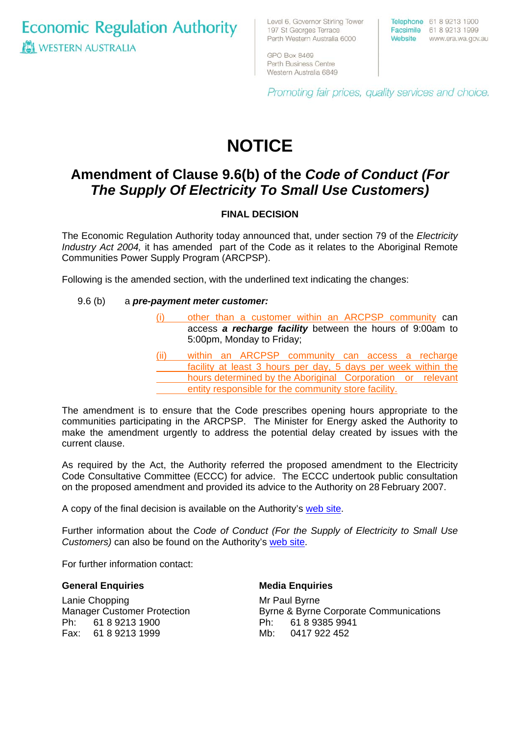**Economic Regulation Authority WESTERN AUSTRALIA** 

Level 6, Governor Stirling Tower 197 St Georges Terrace Perth Western Australia 6000

Western Australia 6849

GPO Box 8469 Perth Business Centre

Telephone 61 8 9213 1900 Facsimile 61 8 9213 1999 Website www.era.wa.gov.au

Promoting fair prices, quality services and choice.

# **NOTICE**

# **Amendment of Clause 9.6(b) of the** *Code of Conduct (For The Supply Of Electricity To Small Use Customers)*

## **FINAL DECISION**

The Economic Regulation Authority today announced that, under section 79 of the *Electricity Industry Act 2004,* it has amended part of the Code as it relates to the Aboriginal Remote Communities Power Supply Program (ARCPSP).

Following is the amended section, with the underlined text indicating the changes:

#### 9.6 (b) a *pre-payment meter customer:*

- (i) other than a customer within an ARCPSP community can access *a recharge facility* between the hours of 9:00am to 5:00pm, Monday to Friday;
- (ii) within an ARCPSP community can access a recharge facility at least 3 hours per day, 5 days per week within the hours determined by the Aboriginal Corporation or relevant entity responsible for the community store facility.

The amendment is to ensure that the Code prescribes opening hours appropriate to the communities participating in the ARCPSP. The Minister for Energy asked the Authority to make the amendment urgently to address the potential delay created by issues with the current clause.

As required by the Act, the Authority referred the proposed amendment to the Electricity Code Consultative Committee (ECCC) for advice. The ECCC undertook public consultation on the proposed amendment and provided its advice to the Authority on 28 February 2007.

A copy of the final decision is available on the Authority's [web site.](http://www.era.wa.gov.au/electricity/library/20070309AmendmentClause96bFinalDecision.pdf)

Further information about the *Code of Conduct (For the Supply of Electricity to Small Use Customers)* can also be found on the Authority's [web site](http://www.era.wa.gov.au/electricity/electricityLicencingSmallUseInfo.cfm).

For further information contact:

#### **General Enquiries**

Lanie Chopping Manager Customer Protection Ph: 61 8 9213 1900 Fax: 61 8 9213 1999

#### **Media Enquiries**

Mr Paul Byrne Byrne & Byrne Corporate Communications Ph: 61 8 9385 9941 Mb: 0417 922 452